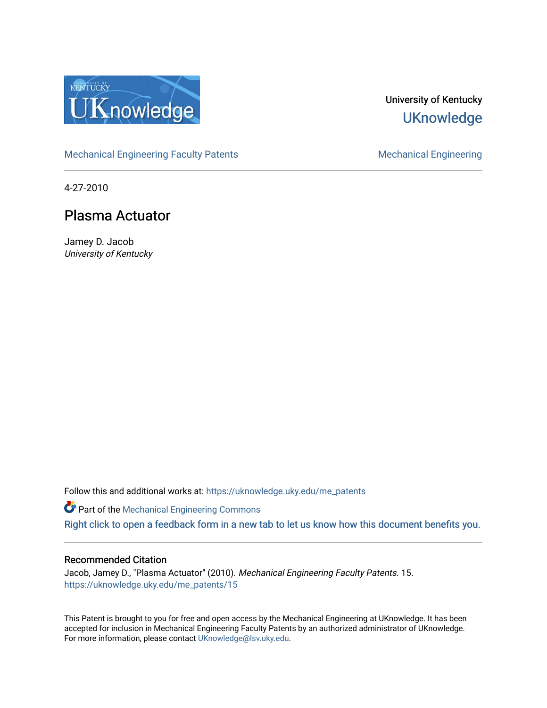

# University of Kentucky **UKnowledge**

[Mechanical Engineering Faculty Patents](https://uknowledge.uky.edu/me_patents) [Mechanical Engineering](https://uknowledge.uky.edu/me) Mechanical Engineering

4-27-2010

# Plasma Actuator

Jamey D. Jacob University of Kentucky

Follow this and additional works at: [https://uknowledge.uky.edu/me\\_patents](https://uknowledge.uky.edu/me_patents?utm_source=uknowledge.uky.edu%2Fme_patents%2F15&utm_medium=PDF&utm_campaign=PDFCoverPages) 

**Part of the Mechanical Engineering Commons** [Right click to open a feedback form in a new tab to let us know how this document benefits you.](https://uky.az1.qualtrics.com/jfe/form/SV_9mq8fx2GnONRfz7)

# Recommended Citation

Jacob, Jamey D., "Plasma Actuator" (2010). Mechanical Engineering Faculty Patents. 15. [https://uknowledge.uky.edu/me\\_patents/15](https://uknowledge.uky.edu/me_patents/15?utm_source=uknowledge.uky.edu%2Fme_patents%2F15&utm_medium=PDF&utm_campaign=PDFCoverPages) 

This Patent is brought to you for free and open access by the Mechanical Engineering at UKnowledge. It has been accepted for inclusion in Mechanical Engineering Faculty Patents by an authorized administrator of UKnowledge. For more information, please contact [UKnowledge@lsv.uky.edu.](mailto:UKnowledge@lsv.uky.edu)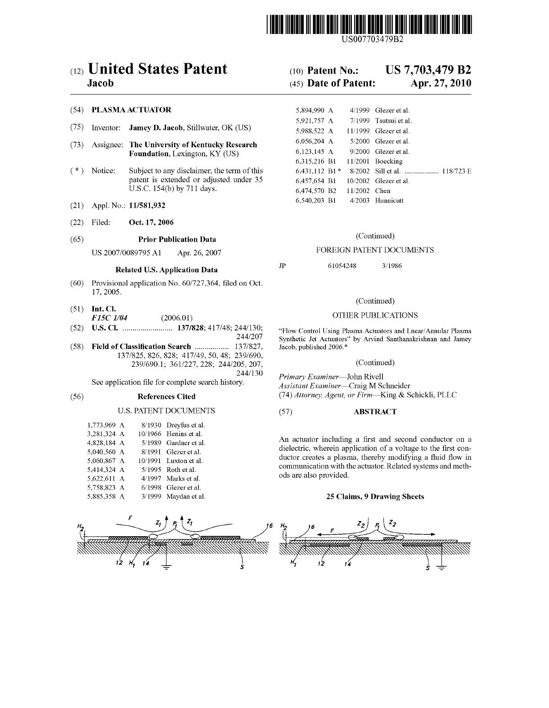

US007703479B2

# (12) United States Patent (10) Patent No.: US 7,703,479 B2

### (54) PLASMA ACTUATOR

- (75) Inventor: **Jamey D. Jacob**, Stillwater, OK (US)
- (73) Assignee: The University of Kentucky Research Foundation, Lexington, KY (US)
- $(*)$  Notice: Subject to any disclaimer, the term of this patent is extended or adjusted under 35 U.S.C. 154(b) by 711 days.
- (21) Appl. No.: 11/581,932
- (22) Filed: Oct. 17, 2006

## (65) Prior Publication Data (Continued)

# Related U.S. Application Data JP 61054248 3/1986

- $(60)$  Provisional application No.  $60/727,364$ , filed on Oct. 17, 2005.
- (51) Int. Cl. F15C 1/04 (2006.01) (2006.01)
- 
- (58) Field of Classification Search ...................... 137/827, Jacob, published 2006.\*<br>137/825, 826, 828; 417/49, 50, 48; 239/690,
	- 239/690.1; 361/227, 228; 244/205, 207, (Continued)<br>244/130 *Primary Francisco*, John Bivell

### U.S. PATENT DOCUMENTS

| 1.773.969 A<br>8/1930 Dreyfus et al.  |  |
|---------------------------------------|--|
| 3,281,324 A<br>10/1966 Henins et al.  |  |
| 4,828,184 A<br>5/1989 Gardner et al.  |  |
| 5,040,560 A<br>8/1991 Glezer et al.   |  |
| 5.060.867 A<br>10/1991 Luxton et al.  |  |
| 5,414,324 A<br>5/1995 Roth et al.     |  |
| 5,622,611 A<br>4/1997 Marks et al.    |  |
| 5,758,823 A<br>$6/1998$ Glezer et al. |  |
| 5,885,358 A<br>3/1999 Maydan et al.   |  |

# Jacob (45) Date of Patent: Apr. 27, 2010

|                        | 5,894,990 A     |              | $4/1999$ Glezer et al.        |
|------------------------|-----------------|--------------|-------------------------------|
|                        | 5,921,757 A     |              | 7/1999 Tsutsui et al.         |
| illwater, OK (US)      | 5,988,522 A     |              | $11/1999$ Glezer et al.       |
| kentucky Research      | 6,056,204 A     |              | $5/2000$ Glezer et al.        |
| ton, KY (US)           | 6,123,145 A     |              | $9/2000$ Glezer et al.        |
|                        | 6,315,216 B1    |              | $11/2001$ Boecking            |
| imer, the term of this | $6,431,112$ B1* |              | 8/2002 Sill et al.  118/723 E |
| or adjusted under 35   | 6,457,654 B1    |              | $10/2002$ Glezer et al.       |
| 1 days.                | 6,474,570 B2    | 11/2002 Chen |                               |
|                        | 6,540,203 B1    |              | 4/2003 Hunnicutt              |

### US 2007/0089795 A1 Apr. 26, 2007 FOREIGN PATENT DOCUMENTS

### (Continued)

(52) US. Cl. ....................... .. 137/828; 417/48; 244/130; "Flow Control Using Plasma Actuators and hear/Annular Plasma Synthetic Jet Actuators" by Arvind Santhanakrishnan and Jamey

See application file for complete search history.<br>Assistant Examiner—Craig M Schneider<br>Assistant Examiner—Craig M Schneider (56) References Cited (74) Attorney, Agent, or Firm-King & Schickli, PLLC

### (57) ABSTRACT

An actuator including a first and second conductor on a dielectric, wherein application of a voltage to the first conductor creates a plasma, thereby modifying a fluid flow in communication With the actuator. Related systems and meth ods are also provided.

### 25 Claims, 9 Drawing Sheets

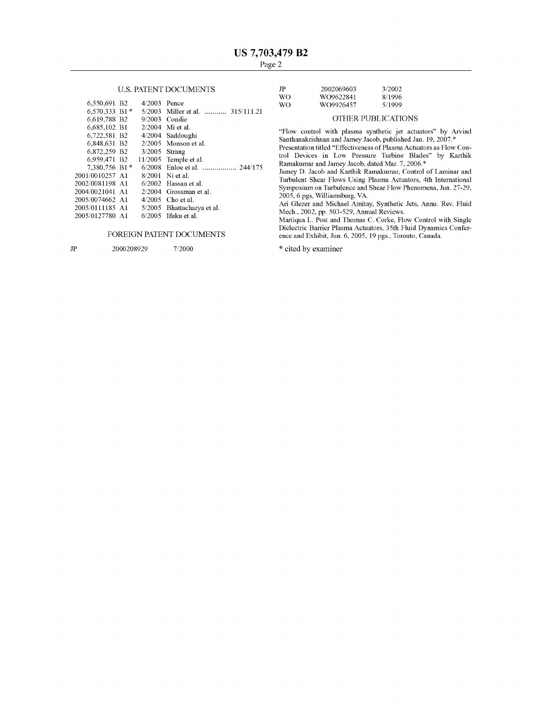| 6,550,691 B2             | $4/2003$ Pence  |                                  | WO.                                                                                                                                                                                                                                                           | WO9926457                                                                                                                                                                                                                                                                                                                                                                                                                                       | 5/1999 |  |  |  |  |
|--------------------------|-----------------|----------------------------------|---------------------------------------------------------------------------------------------------------------------------------------------------------------------------------------------------------------------------------------------------------------|-------------------------------------------------------------------------------------------------------------------------------------------------------------------------------------------------------------------------------------------------------------------------------------------------------------------------------------------------------------------------------------------------------------------------------------------------|--------|--|--|--|--|
| $6.570.333$ B1 $*$       |                 | 5/2003 Miller et al.  315/111.21 |                                                                                                                                                                                                                                                               |                                                                                                                                                                                                                                                                                                                                                                                                                                                 |        |  |  |  |  |
| 6.619.788 B2             | $9/2003$ Condie |                                  | OTHER PUBLICATIONS                                                                                                                                                                                                                                            |                                                                                                                                                                                                                                                                                                                                                                                                                                                 |        |  |  |  |  |
| 6.685.102 B1             |                 | $2/2004$ Mi et al.               |                                                                                                                                                                                                                                                               |                                                                                                                                                                                                                                                                                                                                                                                                                                                 |        |  |  |  |  |
| 6.722.581 B <sub>2</sub> |                 | 4/2004 Saddoughi                 | "Flow control with plasma synthetic jet actuators" by Arvind<br>Santhanakrishnan and Jamey Jacob, published Jan. 19, 2007.*<br>Presentation titled "Effectiveness of Plasma Actuators as Flow Con-<br>trol Devices in Low Pressure Turbine Blades" by Karthik |                                                                                                                                                                                                                                                                                                                                                                                                                                                 |        |  |  |  |  |
| 6,848,631 B2             |                 | $2/2005$ Monson et al.           |                                                                                                                                                                                                                                                               |                                                                                                                                                                                                                                                                                                                                                                                                                                                 |        |  |  |  |  |
| 6.872.259 B2             | $3/2005$ Strang |                                  |                                                                                                                                                                                                                                                               |                                                                                                                                                                                                                                                                                                                                                                                                                                                 |        |  |  |  |  |
| 6.959.471 B2             |                 | $11/2005$ Temple et al.          |                                                                                                                                                                                                                                                               |                                                                                                                                                                                                                                                                                                                                                                                                                                                 |        |  |  |  |  |
| 7.380.756 B1*            |                 |                                  | Ramakumar and Jamey Jacob, dated Mar. 7, 2006.*<br>Jamey D. Jacob and Karthik Ramakumar, Control of Laminar and                                                                                                                                               |                                                                                                                                                                                                                                                                                                                                                                                                                                                 |        |  |  |  |  |
| 2001/0010257 A1          |                 | $8/2001$ Ni et al.               |                                                                                                                                                                                                                                                               |                                                                                                                                                                                                                                                                                                                                                                                                                                                 |        |  |  |  |  |
| 2002/0081198 A1          |                 | $6/2002$ Hassan et al.           |                                                                                                                                                                                                                                                               | Turbulent Shear Flows Using Plasma Actuators, 4th International                                                                                                                                                                                                                                                                                                                                                                                 |        |  |  |  |  |
| 2004/0021041 A1          |                 | 2/2004 Grossman et al.           |                                                                                                                                                                                                                                                               | Symposium on Turbulence and Shear Flow Phenomena, Jun. 27-29.                                                                                                                                                                                                                                                                                                                                                                                   |        |  |  |  |  |
| 2005/0074662 A1          |                 | $4/2005$ Cho et al.              |                                                                                                                                                                                                                                                               | 2005, 6 pgs, Williamsburg, VA.                                                                                                                                                                                                                                                                                                                                                                                                                  |        |  |  |  |  |
| 2005/0111185 A1          |                 | 5/2005 Bhattacharya et al.       |                                                                                                                                                                                                                                                               | Ari Glezer and Michael Amitay, Synthetic Jets, Annu. Rev. Fluid                                                                                                                                                                                                                                                                                                                                                                                 |        |  |  |  |  |
| 2005/0127780 A1          |                 | $6/2005$ Ifuku et al.            |                                                                                                                                                                                                                                                               | Mech., 2002, pp. 503-529, Annual Reviews.<br>$M_{\rm out, max}$ , $\Gamma$ , $\Gamma_{\rm out, max}$ , $\Gamma$ and $\Gamma$ and $\Gamma_{\rm out, max}$ and $\Gamma_{\rm out, max}$ and $\Gamma_{\rm out, max}$ and $\Gamma_{\rm out, max}$ and $\Gamma_{\rm out, max}$ and $\Gamma_{\rm out, max}$ and $\Gamma_{\rm out, max}$ and $\Gamma_{\rm out, max}$ and $\Gamma_{\rm out, max}$ and $\Gamma_{\rm out, max}$ and $\Gamma_{\rm out, max$ |        |  |  |  |  |

### FOREIGN PATENT DOCUMENTS

JP 2000208929 7/2000

US. PATENT DOCUMENTS JP 2002069603 3/2002 WO WO9622841 8/1996<br>WO WO9926457 5/1999 WO9926457

### OTHER PUBLICATIONS

Martiqua L. Post and Thomas C. Corke, Flow Control With Single Dielectric Barrier Plasma Actuators, 35th Fluid Dynamics Confer ence and Exhibit, Jun. 6, 2005, 19 pgs, Toronto, Canada.

\* cited by examiner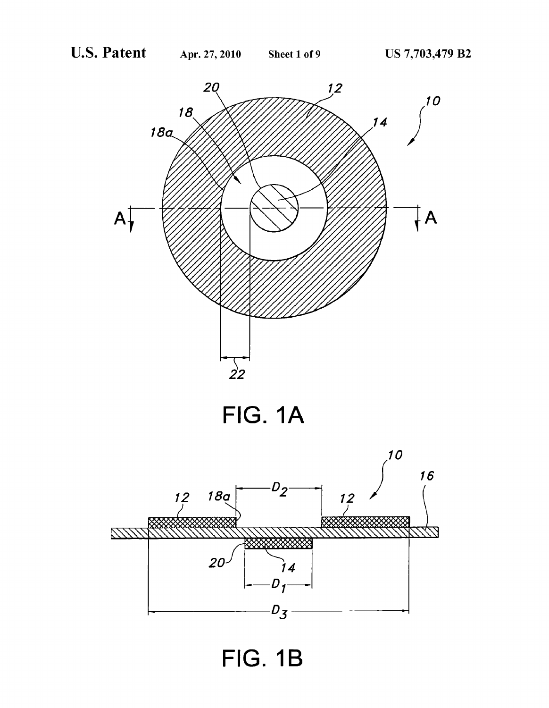

FIG. 1A



FIG. 1B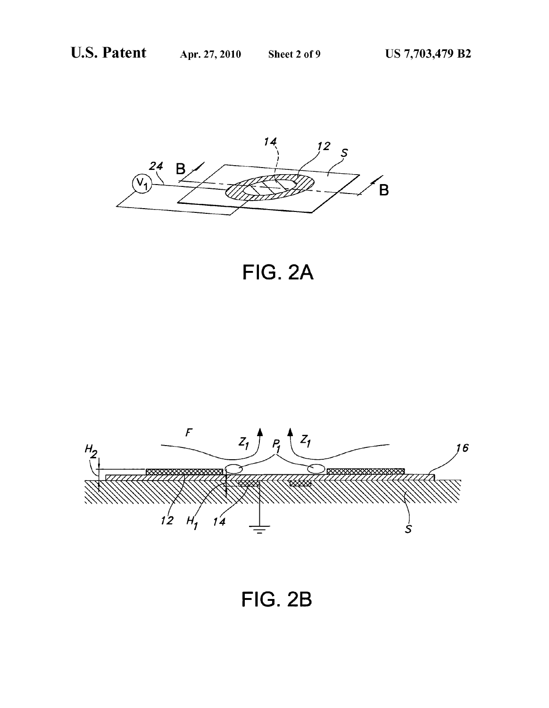

**FIG. 2A** 



**FIG. 2B**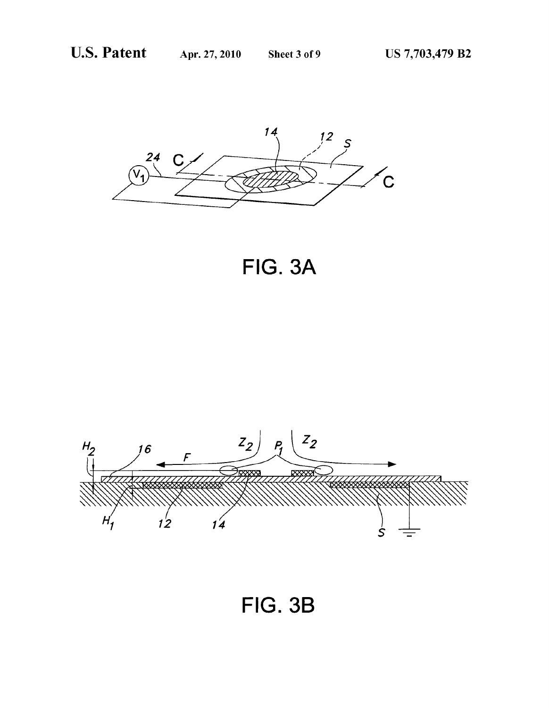

FIG. 3A



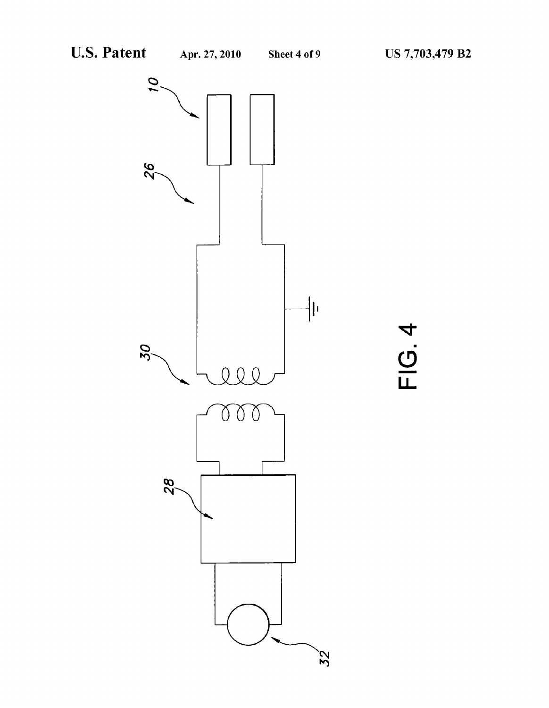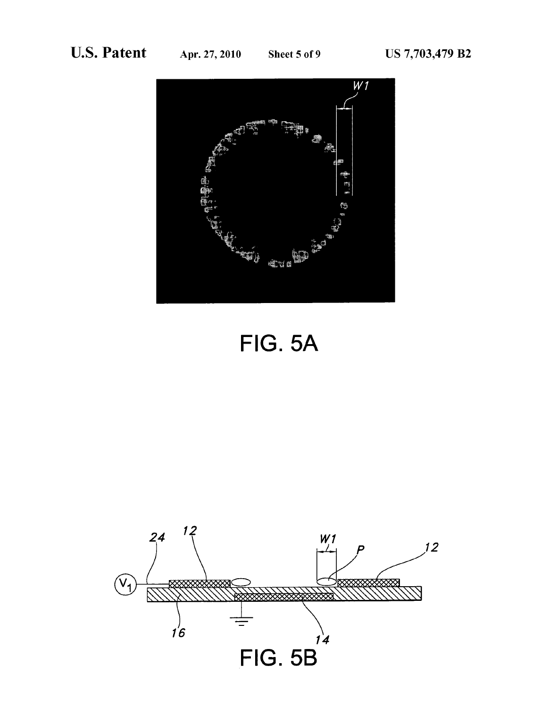

FIG. 5A

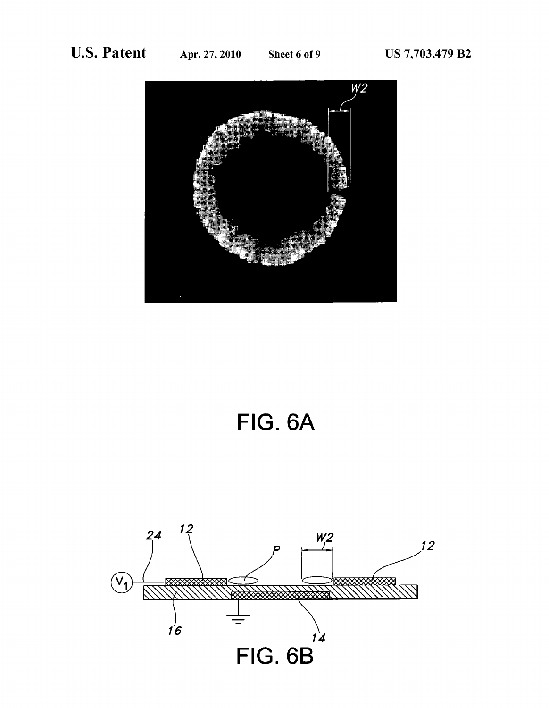

FIG. 6A

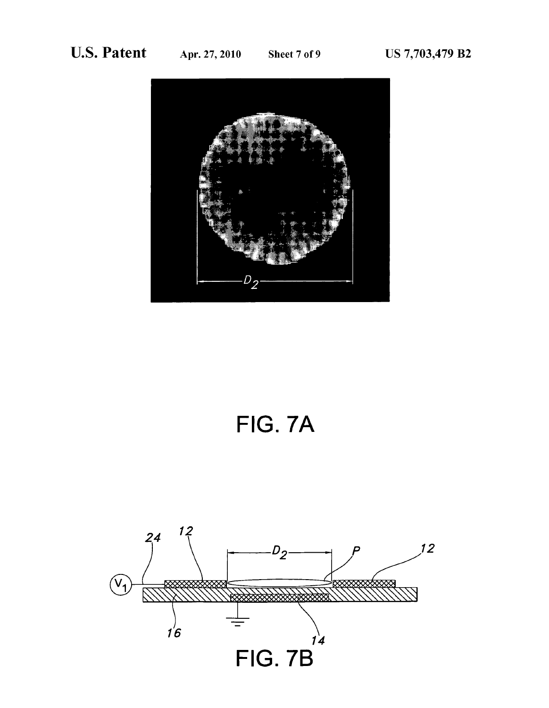

# FIG. 7A

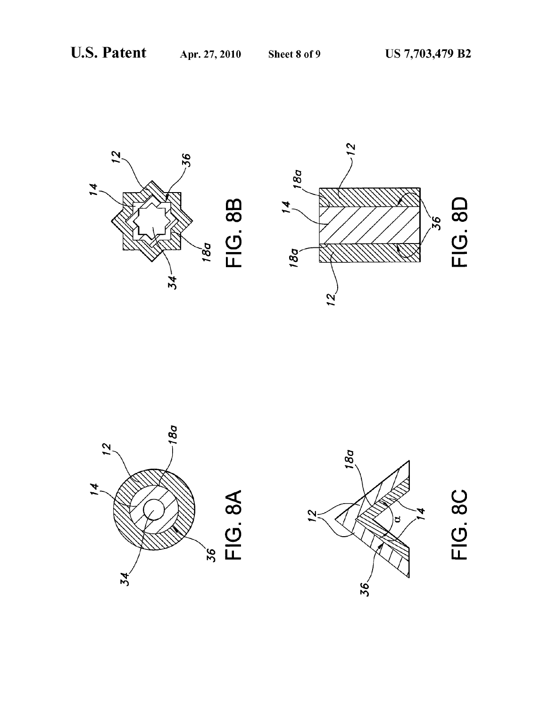





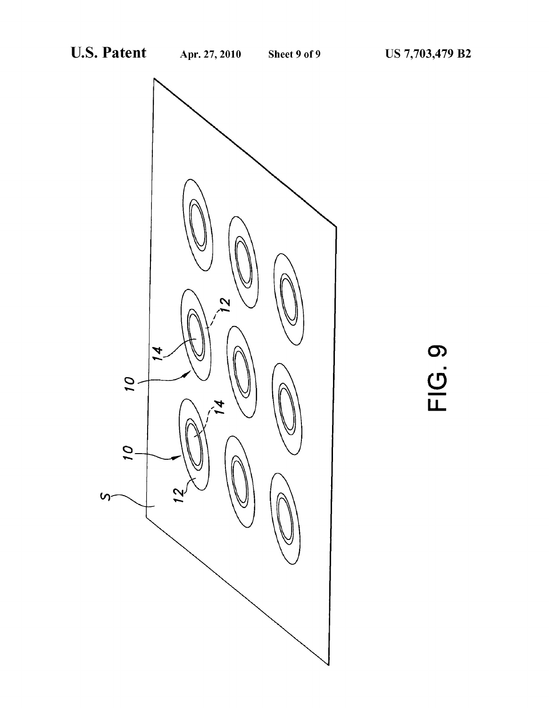

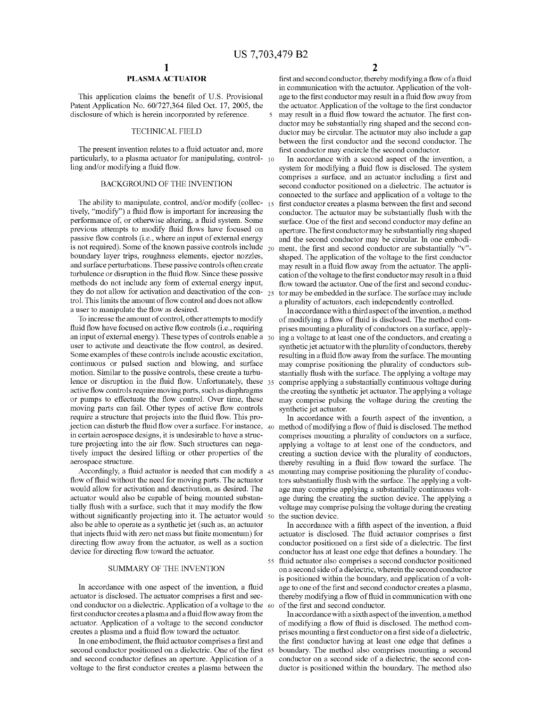### PLASMA ACTUATOR

This application claims the benefit of U.S. Provisional Patent Application No.  $60/727,364$  filed Oct. 17, 2005, the disclosure of Which is herein incorporated by reference.

### TECHNICAL FIELD

The present invention relates to a fluid actuator and, more particularly, to a plasma actuator for manipulating, control- 10 ling and/or modifying a fluid flow.

### BACKGROUND OF THE INVENTION

The ability to manipulate, control, and/or modify (collec- $_{15}$ ) tively, "modify") a fluid flow is important for increasing the performance of, or otherwise altering, a fluid system. Some previous attempts to modify fluid flows have focused on passive flow controls (i.e., where an input of external energy is not required). Some of the known passive controls include  $_{20}$ boundary layer trips, roughness elements, ejector nozzles, and surface perturbations. These passive controls often create turbulence or disruption in the fluid flow. Since these passive methods do not include any form of external energy input, they do not allow for activation and deactivation of the con- $_{25}$ trol. This limits the amount of flow control and does not allow a user to manipulate the flow as desired.

To increase the amount of control, other attempts to modify fluid flow have focused on active flow controls (i.e., requiring an input of external energy). These types of controls enable a 30 user to activate and deactivate the flow control, as desired. Some examples of these controls include acoustic excitation, continuous or pulsed suction and bloWing, and surface motion. Similar to the passive controls, these create a turbu lence or disruption in the fluid flow. Unfortunately, these  $35$ active flow controls require moving parts, such as diaphragms or pumps to effectuate the flow control. Over time, these moving parts can fail. Other types of active flow controls require a structure that projects into the fluid flow. This projection can disturb the fluid flow over a surface. For instance,  $\,40\,\,$  method of modifying a flow of fluid is disclosed. The method in certain aerospace designs, it is undesirable to have a struc ture projecting into the air flow. Such structures can negatively impact the desired lifting or other properties of the aerospace structure.

Accordingly, a fluid actuator is needed that can modify a 45 flow of fluid without the need for moving parts. The actuator Would alloW for activation and deactivation, as desired. The actuator Would also be capable of being mounted substan tially flush with a surface, such that it may modify the flow without significantly projecting into it. The actuator would 50 also be able to operate as a synthetic jet (such as, an actuator that injects fluid with zero net mass but finite momentum) for directing flow away from the actuator, as well as a suction device for directing flow toward the actuator.

### SUMMARY OF THE INVENTION

In accordance with one aspect of the invention, a fluid actuator is disclosed. The actuator comprises a first and second conductor on a dielectric. Application of a voltage to the 60 first conductor creates a plasma and a fluid flow away from the actuator. Application of a voltage to the second conductor creates a plasma and a fluid flow toward the actuator.

In one embodiment, the fluid actuator comprises a first and second conductor positioned on a dielectric. One of the first 65 and second conductor defines an aperture. Application of a voltage to the first conductor creates a plasma between the

2

first and second conductor, thereby modifying a flow of a fluid in communication With the actuator. Application of the volt age to the first conductor may result in a fluid flow away from the actuator. Application of the voltage to the first conductor may result in a fluid flow toward the actuator. The first conductor may be substantially ring shaped and the second con ductor may be circular. The actuator may also include a gap between the first conductor and the second conductor. The first conductor may encircle the second conductor.

In accordance With a second aspect of the invention, a system for modifying a fluid flow is disclosed. The system comprises a surface, and an actuator including a first and second conductor positioned on a dielectric. The actuator is connected to the surface and application of a voltage to the first conductor creates a plasma between the first and second conductor. The actuator may be substantially flush with the surface. One of the first and second conductor may define an aperture. The first conductor may be substantially ring shaped and the second conductor may be circular. In one embodi ment, the first and second conductor are substantially "v"shaped. The application of the voltage to the first conductor may result in a fluid flow away from the actuator. The application of the voltage to the first conductor may result in a fluid flow toward the actuator. One of the first and second conductor may be embedded in the surface. The surface may include a plurality of actuators, each independently controlled.

In accordance With a third aspect of the invention, a method of modifying a flow of fluid is disclosed. The method comprises mounting a plurality of conductors on a surface, apply ing a voltage to at least one of the conductors, and creating a synthetic jet actuator With the plurality of conductors, thereby resulting in a fluid flow away from the surface. The mounting may comprise positioning the plurality of conductors sub stantially flush with the surface. The applying a voltage may comprise applying a substantially continuous voltage during the creating the synthetic jet actuator. The applying a voltage may comprise pulsing the voltage during the creating the synthetic jet actuator.

In accordance With a fourth aspect of the invention, a comprises mounting a plurality of conductors on a surface, applying a voltage to at least one of the conductors, and creating a suction device With the plurality of conductors, thereby resulting in a fluid flow toward the surface. The mounting may comprise positioning the plurality of conduc tors substantially flush with the surface. The applying a voltage may comprise applying a substantially continuous volt age during the creating the suction device. The applying a voltage may comprise pulsing the voltage during the creating the suction device.

55 Huid actuator also comprises a second conductor positioned In accordance with a fifth aspect of the invention, a fluid actuator is disclosed. The fluid actuator comprises a first conductor positioned on a first side of a dielectric. The first conductor has at least one edge that defines a boundary. The on a second side of a dielectric, Wherein the second conductor is positioned Within the boundary, and application of a volt age to one of the first and second conductor creates a plasma, thereby modifying a flow of fluid in communication with one of the first and second conductor.

In accordance With a sixth aspect of the invention, a method of modifying a flow of fluid is disclosed. The method comprises mounting a first conductor on a first side of a dielectric, the first conductor having at least one edge that defines a boundary. The method also comprises mounting a second conductor on a second side of a dielectric, the second con ductor is positioned Within the boundary. The method also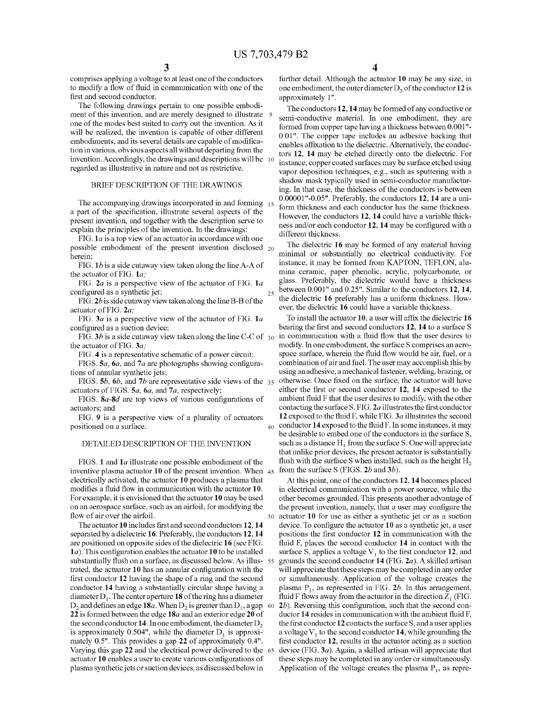40

50

comprises applying a voltage to at least one of the conductors to modify a flow of fluid in communication with one of the first and second conductor.

The following drawings pertain to one possible embodi ment of this invention, and are merely designed to illustrate 5 one of the modes best suited to carry out the invention. As it will be realized, the invention is capable of other different embodiments, and its several details are capable of modification in various, obvious aspects all Without departing from the invention. Accordingly, the drawings and descriptions will be 10 regarded as illustrative in nature and not as restrictive.

### BRIEF DESCRIPTION OF THE DRAWINGS

The accompanying drawings incorporated in and forming 15<br>a part of the specification, illustrate several aspects of the present invention, and together With the description serve to explain the principles of the invention. In the drawings:

FIG.  $1a$  is a top view of an actuator in accordance with one possible embodiment of the present invention disclosed 20 herein;

FIG.  $1b$  is a side cutaway view taken along the line A-A of the actuator of FIG. 1a;

FIG.  $2a$  is a perspective view of the actuator of FIG.  $1a$ configured as a synthetic jet;

FIG.  $2b$  is side cutaway view taken along the line B-B of the actuator of FIG. 2a;

FIG.  $3a$  is a perspective view of the actuator of FIG.  $1a$ configured as a suction device;

the actuator of FIG. 3a;

FIG. 4 is a representative schematic of a power circuit;

FIGS.  $5a$ ,  $6a$ , and  $7a$  are photographs showing configurations of annular synthetic jets;

FIGS.  $5b$ ,  $6b$ , and  $7b$  are representative side views of the  $35$ actuators of FIGS.  $5a$ ,  $6a$ , and  $7a$ , respectively;

FIGS.  $8a-8d$  are top views of various configurations of actuators; and

FIG. 9 is a perspective vieW of a plurality of actuators positioned on a surface.

### DETAILED DESCRIPTION OF THE INVENTION

FIGS. 1 and 1a illustrate one possible embodiment of the inventive plasma actuator 10 of the present invention. When 45 electrically activated, the actuator 10 produces a plasma that modifies a fluid flow in communication with the actuator 10. For example, it is envisioned that the actuator 10 may be used on an aerospace surface, such as an airfoil, for modifying the flow of air over the airfoil.

The actuator  $10$  includes first and second conductors  $12$ ,  $14$ separated by a dielectric 16. Preferably, the conductors 12, 14 are positioned on opposite sides of the dielectric 16 (see FIG.  $1a$ ). This configuration enables the actuator  $10$  to be installed substantially flush on a surface, as discussed below. As illus- 55 trated, the actuator  $10$  has an annular configuration with the first conductor 12 having the shape of a ring and the second conductor 14 having a substantially circular shape having a diameter  $D_1$ . The center aperture 18 of the ring has a diameter  $D_2$  and defines an edge  $18a$ . When  $D_2$  is greater than  $D_1$ , a gap 60  $\,$ 22 is formed between the edge  $18a$  and an exterior edge  $20$  of the second conductor 14. In one embodiment, the diameter  $D<sub>2</sub>$ is approximately 0.504", while the diameter  $D_1$  is approximately 0.5". This provides a gap 22 of approximately 0.4". Varying this gap 22 and the electrical poWer delivered to the 65 actuator 10 enables a user to create various configurations of plasma synthetic jets or suction devices, as discussedbeloW in

4

further detail. Although the actuator 10 may be any size, in one embodiment, the outer diameter  $D_3$  of the conductor 12 is approximately 1".

The conductors 12, 14 may be formed of any conductive or semi-conductive material. In one embodiment, they are formed from copper tape having a thickness between 0.001"-0.0l". The copper tape includes an adhesive backing that enables affixation to the dielectric. Alternatively, the conductors 12, 14 may be etched directly onto the dielectric. For instance, copper coated surfaces may be surface etched using vapor deposition techniques, e.g., such as sputtering With a shadoW mask typically used in semi-conductor manufactur ing. In that case, the thickness of the conductors is between 0.0000l"-0.05". Preferably, the conductors 12, 14 are a uni form thickness and each conductor has the same thickness. HoWever, the conductors 12, 14 could have a variable thick ness and/or each conductor 12, 14 may be configured with a different thickness.

The dielectric 16 may be formed of any material having minimal or substantially no electrical conductivity. For instance, it may be formed from KAPTON, TEFLON, alu mina ceramic, paper phenolic, acrylic, polycarbonate, or glass. Preferably, the dielectric Would have a thickness between 0.001" and 0.25". Similar to the conductors 12, 14, the dielectric 16 preferably has a uniform thickness. HoW ever, the dielectric 16 could have a variable thickness.

FIG. 3b is a side cutaway view taken along the line C-C of  $_{30}$  in communication with a fluid flow that the user desires to To install the actuator  $10$ , a user will affix the dielectric  $16$ bearing the first and second conductors 12, 14 to a surface S modify. In one embodiment, the surface S comprises an aero space surface, wherein the fluid flow would be air, fuel, or a combination of air and fuel. The user may accomplish this by using an adhesive, a mechanical fastener, Welding, braZing, or otherwise. Once fixed on the surface, the actuator will have either the first or second conductor 12, 14 exposed to the ambient fluid F that the user desires to modify, with the other contacting the surface S. FIG.  $2a$  illustrates the first conductor 12 exposed to the fluid F, while FIG.  $3a$  illustrates the second conductor  $14$  exposed to the fluid F. In some instances, it may be desirable to embed one of the conductors in the surface S, such as a distance  $H_1$  from the surface S. One will appreciate that unlike prior devices, the present actuator is substantially flush with the surface S when installed, such as the height  $H_2$ from the surface S (FIGS.  $2b$  and  $3b$ ).

> At this point, one of the conductors 12, 14 becomes placed in electrical communication with a power source, while the other becomes grounded. This presents another advantage of the present invention, namely, that a user may configure the actuator 10 for use as either a synthetic jet or as a suction device. To configure the actuator  $10$  as a synthetic jet, a user positions the first conductor 12 in communication with the fluid F, places the second conductor  $14$  in contact with the surface S, applies a voltage  $V_1$  to the first conductor 12, and grounds the second conductor 14 (FIG. 2a). A skilled artisan Will appreciate that these steps may be completed in any order or simultaneously. Application of the voltage creates the plasma  $P_1$ , as represented in FIG. 2b. In this arrangement, fluid F flows away from the actuator in the direction  $Z_1$  (FIG.  $2b$ ). Reversing this configuration, such that the second conductor  $14$  resides in communication with the ambient fluid F, the first conductor  $12$  contacts the surface S, and a user applies a voltage  $V_1$  to the second conductor 14, while grounding the first conductor 12, results in the actuator acting as a suction device (FIG. 3a). Again, a skilled artisan will appreciate that these steps may be completed in any order or simultaneously. Application of the voltage creates the plasma  $P_1$ , as repre-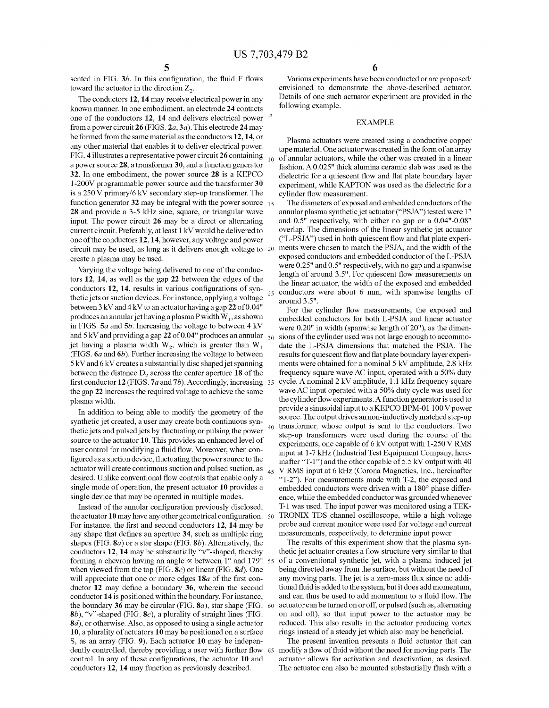25

40

sented in FIG.  $3b$ . In this configuration, the fluid F flows toward the actuator in the direction  $Z_2$ .

The conductors 12, 14 may receive electrical power in any knoWn manner. In one embodiment, an electrode 24 contacts one of the conductors  $12$ ,  $14$  and delivers electrical power  $5$ from a power circuit 26 (FIGS.  $2a$ ,  $3a$ ). This electrode 24 may be formed from the same material as the conductors 12, 14, or any other material that enables it to deliver electrical power. FIG. 4 illustrates a representative power circuit 26 containing a poWer source 28, a transformer 30, and a function generator 32. In one embodiment, the power source 28 is a KEPCO 1-200V programmable poWer source and the transformer 30 is a  $250 \text{ V}$  primary/6 kV secondary step-up transformer. The function generator 32 may be integral with the power source  $_{15}$ 28 and provide a 3-5 kHz sine, square, or triangular wave input. The power circuit 26 may be a direct or alternating current circuit. Preferably, at least 1 kV Would be delivered to one of the conductors 12, 14, however, any voltage and power circuit may be used, as long as it delivers enough voltage to 20 create a plasma may be used.

Varying the voltage being delivered to one of the conduc tors 12, 14, as well as the gap 22 between the edges of the conductors 12, 14, results in various configurations of synthetic jets or suction devices. For instance, applying a voltage betWeen 3 kV and 4 kV to an actuator having a gap 22 of 0.04" produces an annular jet having a plasma P width  $W_1$ , as shown in FIGS.  $5a$  and  $5b$ . Increasing the voltage to between  $4$  kV and 5 kV and providing a gap 22 of 0.04" produces an annular  $_{\rm 30}$ jet having a plasma width  $W_2$ , which is greater than  $W_1$ (FIGS.  $6a$  and  $6b$ ). Further increasing the voltage to between 5 kV and 6 kV creates a substantially disc shaped jet spanning between the distance  $D<sub>2</sub>$  across the center aperture 18 of the first conductor  $12$  (FIGS. 7a and 7b). Accordingly, increasing 35 the gap 22 increases the required voltage to achieve the same plasma Width.

In addition to being able to modify the geometry of the synthetic jet created, a user may create both continuous syn thetic jets and pulsed jets by fluctuating or pulsing the power source to the actuator 10. This provides an enhanced level of user control for modifying a fluid flow. Moreover, when configured as a suction device, fluctuating the power source to the actuator Will create continuous suction and pulsed suction, as desired. Unlike conventional flow controls that enable only a single mode of operation, the present actuator 10 provides a single device that may be operated in multiple modes.  $45$ 

Instead of the annular configuration previously disclosed, the actuator  $10$  may have any other geometrical configuration.  $\,$  50  $\,$ For instance, the first and second conductors 12, 14 may be any shape that defines an aperture 34, such as multiple ring shapes (FIG.  $\mathbf{8}a$ ) or a star shape (FIG.  $\mathbf{8}b$ ). Alternatively, the conductors 12, 14 may be substantially "v"-shaped, thereby forming a chevron having an angle  $\infty$  between 1° and 179° 55 when viewed from the top (FIG.  $\mathbf{8}c$ ) or linear (FIG.  $\mathbf{8}d$ ). One will appreciate that one or more edges  $18a$  of the first conductor  $12$  may define a boundary  $36$ , wherein the second conductor 14 is positioned Within the boundary. For instance, the boundary 36 may be circular (FIG.  $8a$ ), star shape (FIG.  $60$ ) 8b), "v"-shaped (FIG.  $\mathbf{8}c$ ), a plurality of straight lines (FIG. 8d), or otherwise. Also, as opposed to using a single actuator 10, a plurality of actuators 10 may be positioned on a surface S, as an array (FIG. 9). Each actuator 10 may be indepen dently controlled, thereby providing a user with further flow control. In any of these configurations, the actuator 10 and conductors 12, 14 may function as previously described. 65

Various experiments have been conducted or are proposed/ envisioned to demonstrate the above-described actuator. Details of one such actuator experiment are provided in the following example.

### EXAMPLE

Plasma actuators Were created using a conductive copper tape material. One actuator Was created in the form of an array of annular actuators, While the other Was created in a linear fashion. A 0.025" thick alumina ceramic slab Was used as the dielectric for a quiescent flow and flat plate boundary layer experiment, While KAPTON Was used as the dielectric for a cylinder flow measurement.

The diameters of exposed and embedded conductors of the annular plasma synthetic jet actuator ("PSJA") tested Were 1" and 0.5" respectively, With either no gap or a 0.04"-0.08" overlap. The dimensions of the linear synthetic jet actuator ("L-PSJA") used in both quiescent flow and flat plate experiments Were chosen to match the PSJA, and the Width of the exposed conductors and embedded conductor of the L-PSJA were 0.25" and 0.5" respectively, with no gap and a spanwise length of around 3.5". For quiescent flow measurements on the linear actuator, the Width of the exposed and embedded conductors Were about 6 mm, With spanWise lengths of around 3.5".

For the cylinder flow measurements, the exposed and embedded conductors for both L-PSJA and linear actuator were  $0.20$ " in width (spanwise length of  $20$ "), as the dimensions of the cylinder used Was not large enough to accommo date the L-PSJA dimensions that matched the PSJA. The results for quiescent flow and flat plate boundary layer experiments were obtained for a nominal 5 kV amplitude, 2.8 kHz frequency square Wave AC input, operated With a 50% duty cycle. A nominal 2 kV amplitude, 1.1 kHz frequency square Wave AC input operated With a 50% duty cycle Was used for the cylinder flow experiments. A function generator is used to provide a sinusoidal input to a KEPCO BPM-01 100 V poWer source. The output drives an non-inductively matched step-up transformer, Whose output is sent to the conductors. TWo step-up transformers Were used during the course of the experiments, one capable of 6 kV output With 1-250 V RMS input at 1-7 kHz (Industrial Test Equipment Company, hereinafter "T-1") and the other capable of  $5.5 \text{ kV}$  output with  $40$ V RMS input at 6 kHZ (Corona Magnetics, Inc., hereinafter "T-2"). For measurements made With T-2, the exposed and embedded conductors Were driven With a 180° phase differ ence, While the embedded conductor Was grounded Whenever T-1 Was used. The input poWer Was monitored using a TEK TRONIX TDS channel oscilloscope, While a high voltage probe and current monitor Were used for voltage and current measurements, respectively, to determine input power.

The results of this experiment show that the plasma synthetic jet actuator creates a flow structure very similar to that of a conventional synthetic jet, With a plasma induced jet being directed aWay from the surface, but Without the need of any moving parts. The jet is a zero-mass flux since no additional fluid is added to the system, but it does add momentum, and can thus be used to add momentum to a fluid flow. The actuator can be turned on or off, or pulsed (such as, alternating on and off), so that input poWer to the actuator may be reduced. This also results in the actuator producing vortex rings instead of a steady jet which also may be beneficial.

The present invention presents a fluid actuator that can modify a flow of fluid without the need for moving parts. The actuator alloWs for activation and deactivation, as desired. The actuator can also be mounted substantially flush with a